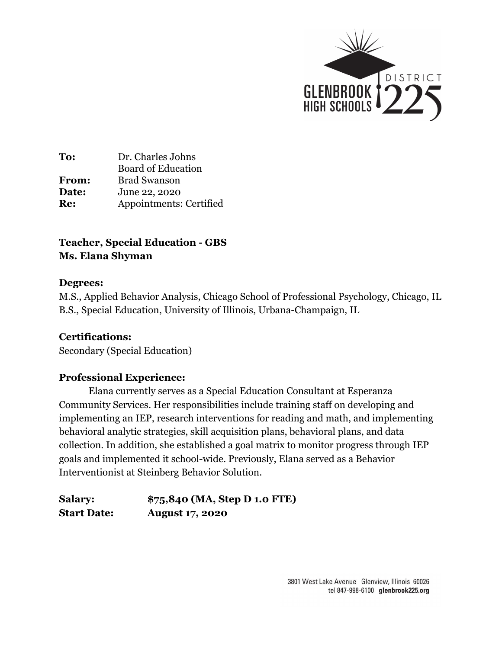

# **Teacher, Special Education - GBS Ms. Elana Shyman**

### **Degrees:**

M.S., Applied Behavior Analysis, Chicago School of Professional Psychology, Chicago, IL B.S., Special Education, University of Illinois, Urbana-Champaign, IL

## **Certifications:**

Secondary (Special Education)

## **Professional Experience:**

Elana currently serves as a Special Education Consultant at Esperanza Community Services. Her responsibilities include training staff on developing and implementing an IEP, research interventions for reading and math, and implementing behavioral analytic strategies, skill acquisition plans, behavioral plans, and data collection. In addition, she established a goal matrix to monitor progress through IEP goals and implemented it school-wide. Previously, Elana served as a Behavior Interventionist at Steinberg Behavior Solution.

**Salary: \$75,840 (MA, Step D 1.0 FTE) Start Date: August 17, 2020**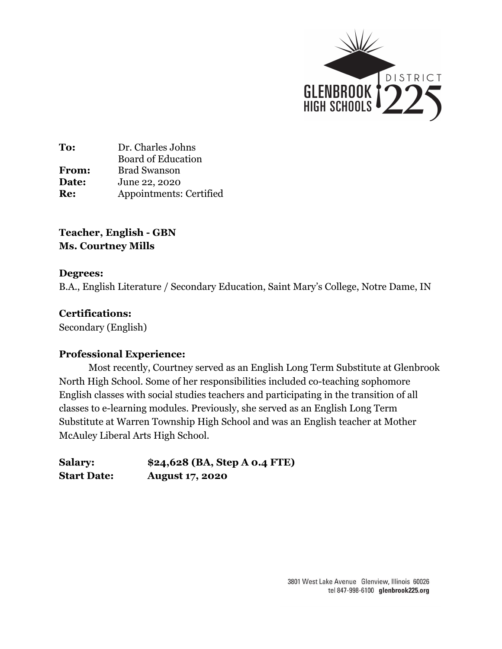

**Teacher, English - GBN Ms. Courtney Mills**

### **Degrees:**

B.A., English Literature / Secondary Education, Saint Mary's College, Notre Dame, IN

### **Certifications:**

Secondary (English)

## **Professional Experience:**

Most recently, Courtney served as an English Long Term Substitute at Glenbrook North High School. Some of her responsibilities included co-teaching sophomore English classes with social studies teachers and participating in the transition of all classes to e-learning modules. Previously, she served as an English Long Term Substitute at Warren Township High School and was an English teacher at Mother McAuley Liberal Arts High School.

**Salary: \$24,628 (BA, Step A 0.4 FTE) Start Date: August 17, 2020**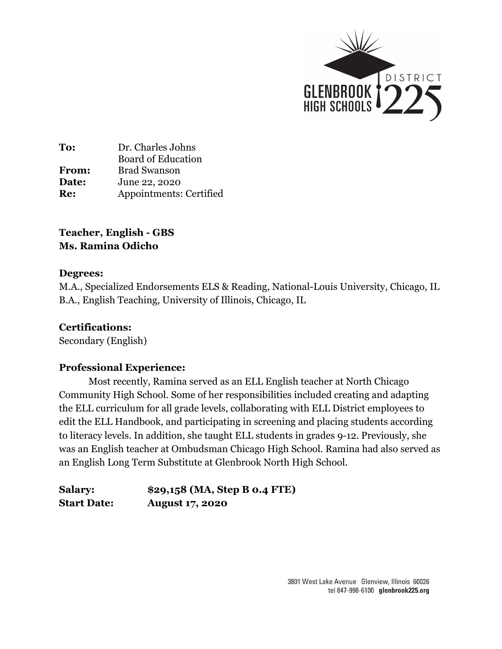

# **Teacher, English - GBS Ms. Ramina Odicho**

## **Degrees:**

M.A., Specialized Endorsements ELS & Reading, National-Louis University, Chicago, IL B.A., English Teaching, University of Illinois, Chicago, IL

## **Certifications:**

Secondary (English)

## **Professional Experience:**

Most recently, Ramina served as an ELL English teacher at North Chicago Community High School. Some of her responsibilities included creating and adapting the ELL curriculum for all grade levels, collaborating with ELL District employees to edit the ELL Handbook, and participating in screening and placing students according to literacy levels. In addition, she taught ELL students in grades 9-12. Previously, she was an English teacher at Ombudsman Chicago High School. Ramina had also served as an English Long Term Substitute at Glenbrook North High School.

| <b>Salary:</b>     | \$29,158 (MA, Step B 0.4 FTE) |
|--------------------|-------------------------------|
| <b>Start Date:</b> | <b>August 17, 2020</b>        |